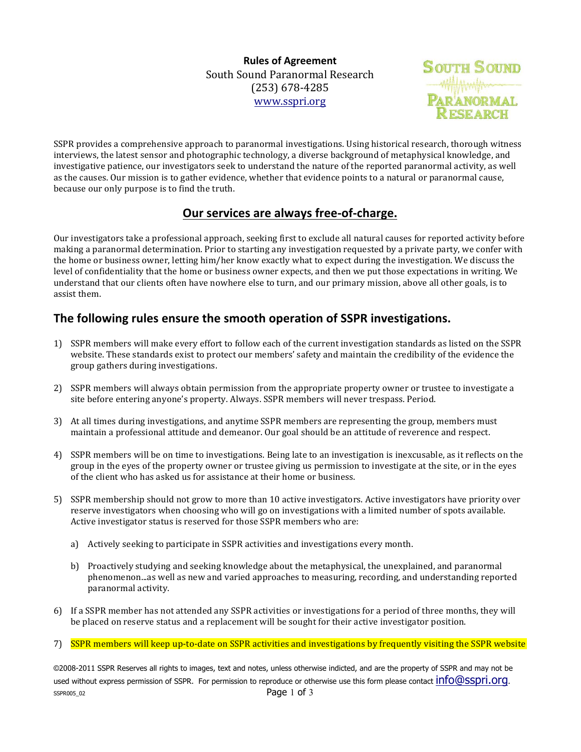**Rules of Agreement** South Sound Paranormal Research (253) 678-4285 www.sspri.org



SSPR provides a comprehensive approach to paranormal investigations. Using historical research, thorough witness interviews, the latest sensor and photographic technology, a diverse background of metaphysical knowledge, and investigative patience, our investigators seek to understand the nature of the reported paranormal activity, as well as the causes. Our mission is to gather evidence, whether that evidence points to a natural or paranormal cause, because our only purpose is to find the truth.

## **Our services are always free-of-charge.**

Our investigators take a professional approach, seeking first to exclude all natural causes for reported activity before making a paranormal determination. Prior to starting any investigation requested by a private party, we confer with the home or business owner, letting him/her know exactly what to expect during the investigation. We discuss the level of confidentiality that the home or business owner expects, and then we put those expectations in writing. We understand that our clients often have nowhere else to turn, and our primary mission, above all other goals, is to assist them.

## The following rules ensure the smooth operation of SSPR investigations.

- 1) SSPR members will make every effort to follow each of the current investigation standards as listed on the SSPR website. These standards exist to protect our members' safety and maintain the credibility of the evidence the group gathers during investigations.
- 2) SSPR members will always obtain permission from the appropriate property owner or trustee to investigate a site before entering anyone's property. Always. SSPR members will never trespass. Period.
- 3) At all times during investigations, and anytime SSPR members are representing the group, members must maintain a professional attitude and demeanor. Our goal should be an attitude of reverence and respect.
- 4) SSPR members will be on time to investigations. Being late to an investigation is inexcusable, as it reflects on the group in the eyes of the property owner or trustee giving us permission to investigate at the site, or in the eyes of the client who has asked us for assistance at their home or business.
- 5) SSPR membership should not grow to more than 10 active investigators. Active investigators have priority over reserve investigators when choosing who will go on investigations with a limited number of spots available. Active investigator status is reserved for those SSPR members who are:
	- a) Actively seeking to participate in SSPR activities and investigations every month.
	- b) Proactively studying and seeking knowledge about the metaphysical, the unexplained, and paranormal phenomenon...as well as new and varied approaches to measuring, recording, and understanding reported paranormal activity.
- 6) If a SSPR member has not attended any SSPR activities or investigations for a period of three months, they will be placed on reserve status and a replacement will be sought for their active investigator position.
- 7) SSPR members will keep up-to-date on SSPR activities and investigations by frequently visiting the SSPR website

©2008-2011 SSPR Reserves all rights to images, text and notes, unless otherwise indicted, and are the property of SSPR and may not be used without express permission of SSPR. For permission to reproduce or otherwise use this form please contact  $info@sspri.org$ . SSPR005\_02 Page 1 of 3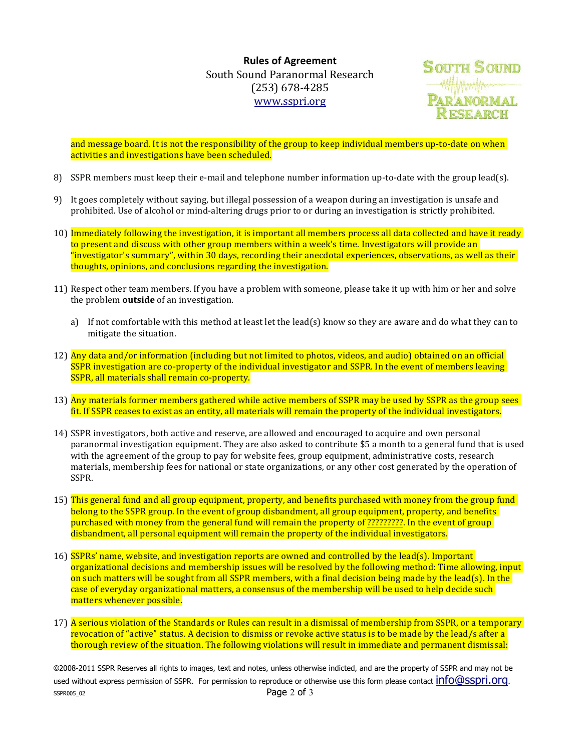**Rules of Agreement** South Sound Paranormal Research (253) 678-4285 www.sspri.org



and message board. It is not the responsibility of the group to keep individual members up-to-date on when activities and investigations have been scheduled.

- 8) SSPR members must keep their e-mail and telephone number information up-to-date with the group lead(s).
- 9) It goes completely without saying, but illegal possession of a weapon during an investigation is unsafe and prohibited. Use of alcohol or mind-altering drugs prior to or during an investigation is strictly prohibited.
- 10) Immediately following the investigation, it is important all members process all data collected and have it ready to present and discuss with other group members within a week's time. Investigators will provide an "investigator's summary", within 30 days, recording their anecdotal experiences, observations, as well as their thoughts, opinions, and conclusions regarding the investigation.
- 11) Respect other team members. If you have a problem with someone, please take it up with him or her and solve the problem **outside** of an investigation.
	- a) If not comfortable with this method at least let the lead(s) know so they are aware and do what they can to mitigate the situation.
- 12) Any data and/or information (including but not limited to photos, videos, and audio) obtained on an official SSPR investigation are co-property of the individual investigator and SSPR. In the event of members leaving SSPR, all materials shall remain co-property.
- 13) Any materials former members gathered while active members of SSPR may be used by SSPR as the group sees fit. If SSPR ceases to exist as an entity, all materials will remain the property of the individual investigators.
- 14) SSPR investigators, both active and reserve, are allowed and encouraged to acquire and own personal paranormal investigation equipment. They are also asked to contribute \$5 a month to a general fund that is used with the agreement of the group to pay for website fees, group equipment, administrative costs, research materials, membership fees for national or state organizations, or any other cost generated by the operation of SSPR.
- 15) This general fund and all group equipment, property, and benefits purchased with money from the group fund belong to the SSPR group. In the event of group disbandment, all group equipment, property, and benefits purchased with money from the general fund will remain the property of ??????????. In the event of group disbandment, all personal equipment will remain the property of the individual investigators.
- 16) SSPRs' name, website, and investigation reports are owned and controlled by the lead(s). Important organizational decisions and membership issues will be resolved by the following method: Time allowing, input on such matters will be sought from all SSPR members, with a final decision being made by the lead(s). In the case of everyday organizational matters, a consensus of the membership will be used to help decide such matters whenever possible.
- 17) A serious violation of the Standards or Rules can result in a dismissal of membership from SSPR, or a temporary revocation of "active" status. A decision to dismiss or revoke active status is to be made by the lead/s after a thorough review of the situation. The following violations will result in immediate and permanent dismissal:

©2008-2011 SSPR Reserves all rights to images, text and notes, unless otherwise indicted, and are the property of SSPR and may not be used without express permission of SSPR. For permission to reproduce or otherwise use this form please contact  $info@sspri.org$ . SSPR005\_02 Page 2 of 3